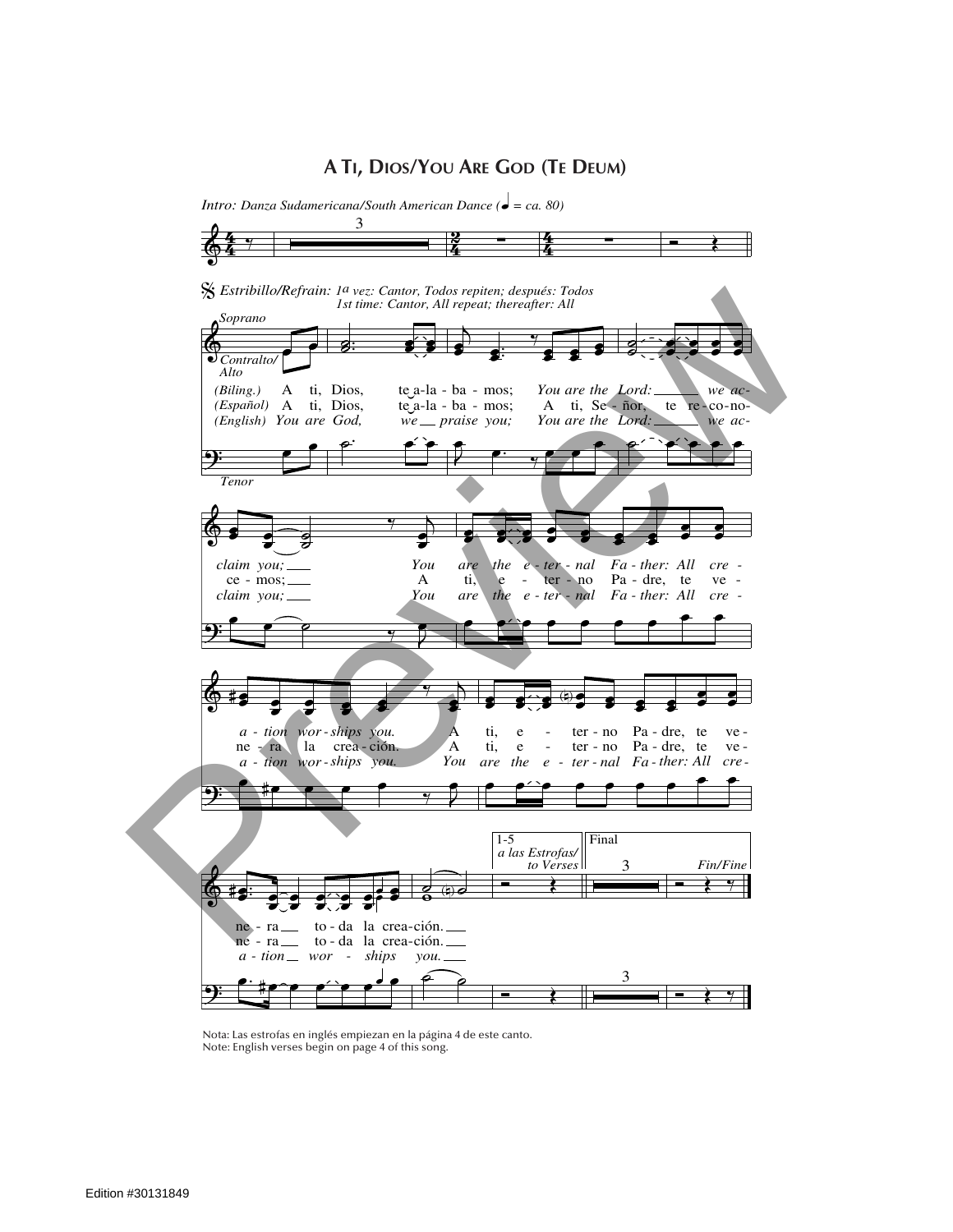## **A Ti, Dios/You Are God (Te Deum)**



Nota: Las estrofas en inglés empiezan en la página 4 de este canto. Note: English verses begin on page 4 of this song.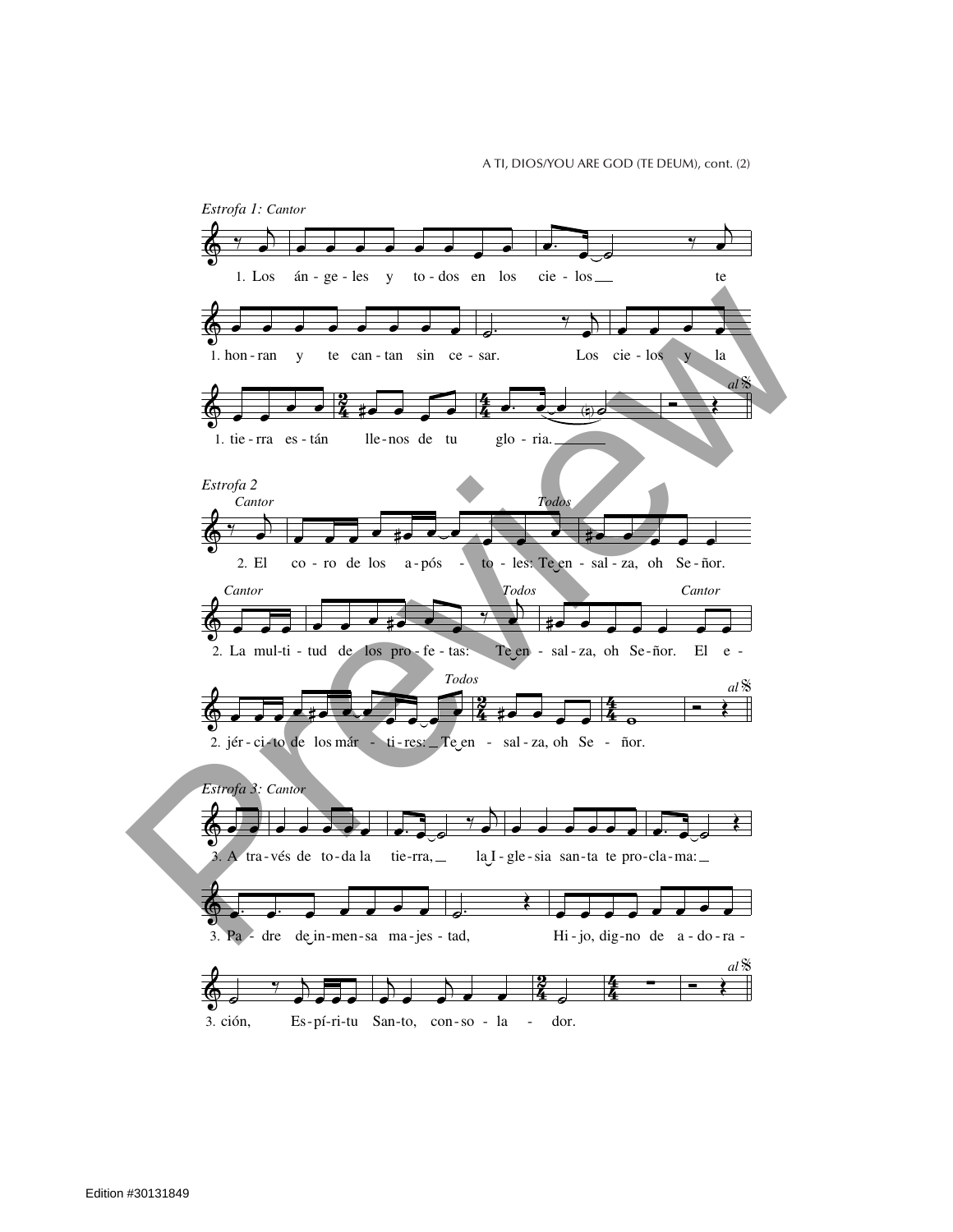A TI, DIOS/YOU ARE GOD (TE DEUM), cont. (2)

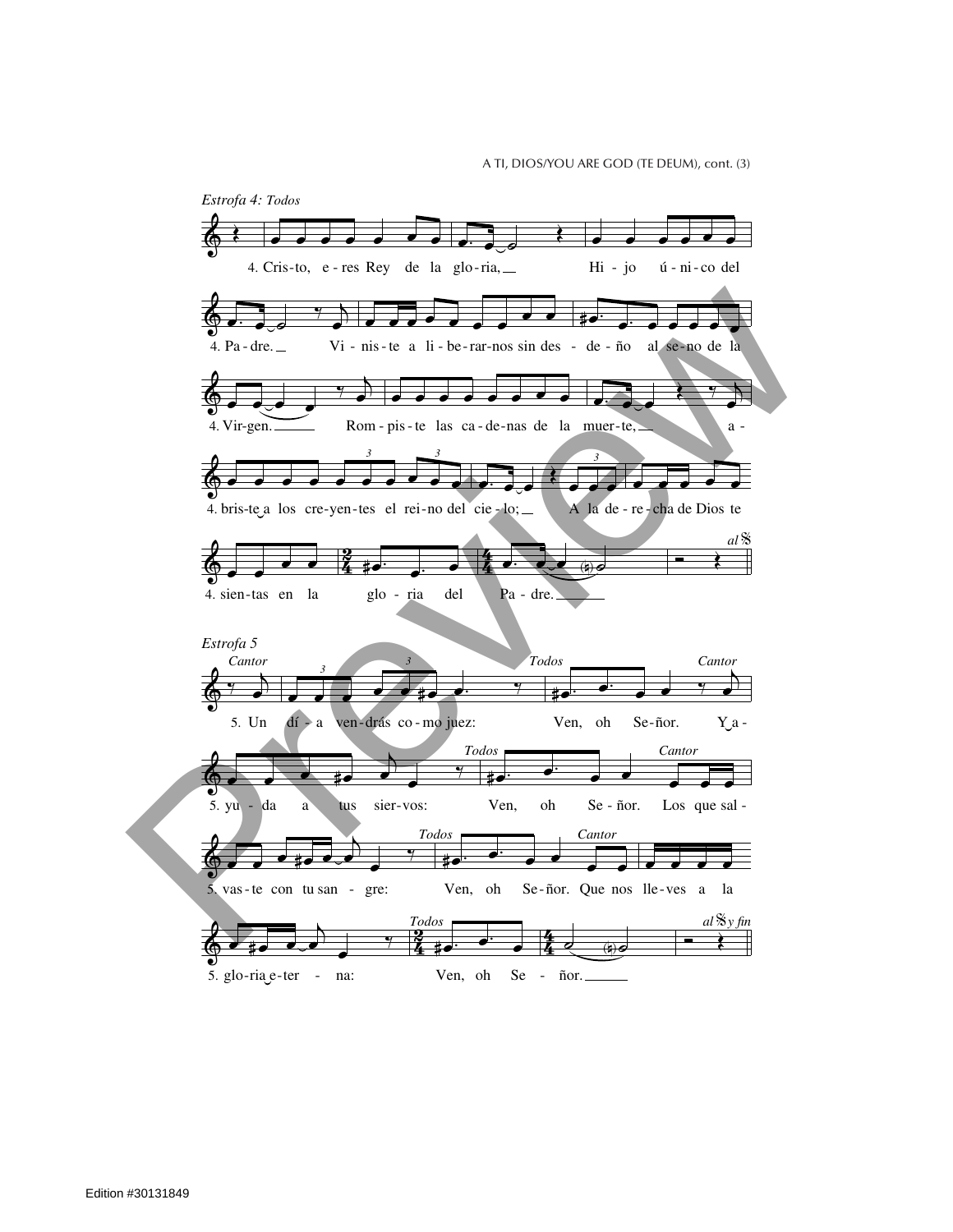A TI, DIOS/YOU ARE GOD (TE DEUM), cont. (3)

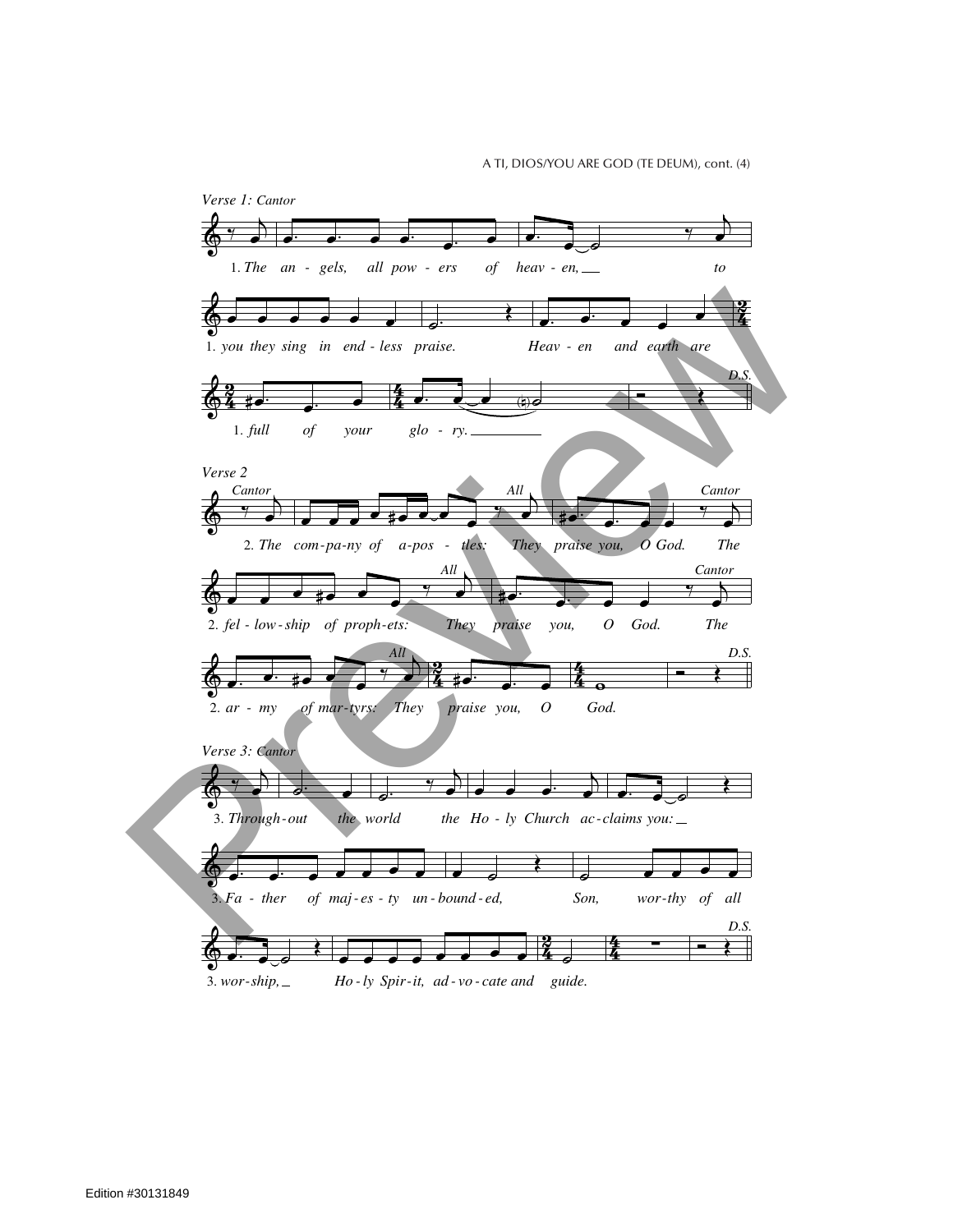A TI, DIOS/YOU ARE GOD (TE DEUM), cont. (4)